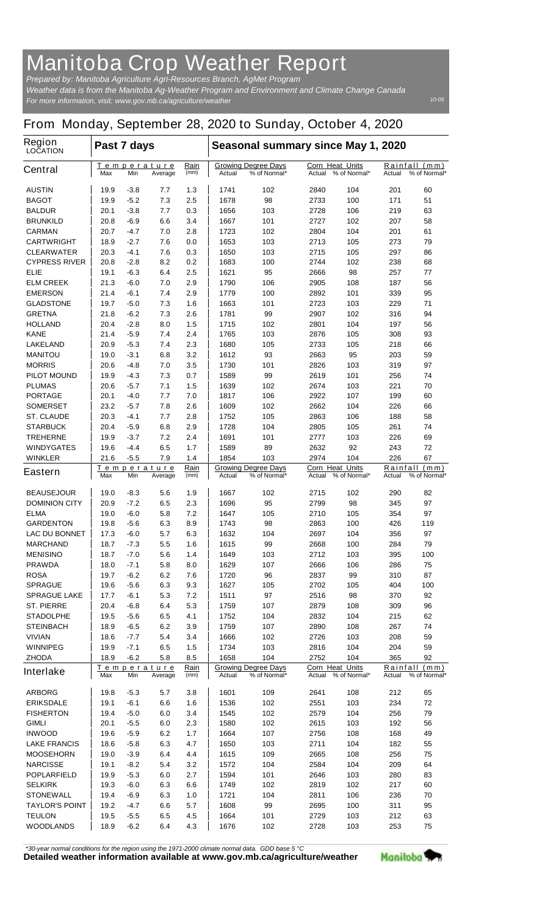## **Manitoba Crop Weather Report**

*For more information, visit: www.gov.mb.ca/agriculture/weather Prepared by: Manitoba Agriculture Agri-Resources Branch, AgMet Program Weather data is from the Manitoba Ag-Weather Program and Environment and Climate Change Canada*

## **From Monday, September 28, 2020 to Sunday, October 4, 2020**

| <b>Region</b><br><b>LOCATION</b>   |                                             | Past 7 days        |                     |                                                      |                                            | Seasonal summary since May 1, 2020 |                                        |                    |                                                   |              |  |
|------------------------------------|---------------------------------------------|--------------------|---------------------|------------------------------------------------------|--------------------------------------------|------------------------------------|----------------------------------------|--------------------|---------------------------------------------------|--------------|--|
| <b>Central</b>                     | Temperature<br>Max<br>Min<br>Average        |                    | <u>Rain</u><br>(mm) | <b>Growing Degree Days</b><br>Actual<br>% of Normal* |                                            | Actual                             | <b>Corn Heat Units</b><br>% of Normal* |                    | <u>Rainfall</u><br>(mm)<br>% of Normal*<br>Actual |              |  |
| <b>AUSTIN</b>                      | 19.9                                        | $-3.8$             | 7.7                 | 1.3                                                  | 1741                                       | 102                                | 2840                                   | 104                | 201                                               | 60           |  |
| <b>BAGOT</b>                       | 19.9                                        | -5.2               | 7.3                 | 2.5                                                  | 1678                                       | 98                                 | 2733                                   | 100                | 171                                               | 51           |  |
| <b>BALDUR</b>                      | 20.1                                        | $-3.8$             | 7.7                 | 0.3                                                  | 1656                                       | 103                                | 2728                                   | 106                | 219                                               | 63           |  |
| <b>BRUNKILD</b>                    | 20.8                                        | -6.9               | 6.6                 | 3.4                                                  | 1667                                       | 101                                | 2727                                   | 102                | 207                                               | 58           |  |
| <b>CARMAN</b>                      | 20.7                                        | -4.7               | 7.0                 | 2.8                                                  | 1723                                       | 102                                | 2804                                   | 104                | 201                                               | 61           |  |
| <b>CARTWRIGHT</b>                  | 18.9                                        | -2.7               | 7.6                 | 0.0                                                  | 1653                                       | 103                                | 2713                                   | 105                | 273                                               | 79           |  |
| <b>CLEARWATER</b>                  | 20.3                                        | -4.1               | 7.6                 | 0.3                                                  | 1650                                       | 103                                | 2715                                   | 105                | 297                                               | 86           |  |
| <b>CYPRESS RIVER</b>               | 20.8                                        | $-2.8$             | 8.2                 | 0.2                                                  | 1683                                       | 100                                | 2744                                   | 102                | 238                                               | 68           |  |
| <b>ELIE</b>                        | 19.1                                        | -6.3               | 6.4                 | 2.5                                                  | 1621                                       | 95                                 | 2666                                   | 98                 | 257                                               | 77           |  |
| <b>ELM CREEK</b>                   | 21.3                                        | -6.0               | 7.0                 | 2.9                                                  | 1790                                       | 106                                | 2905                                   | 108                | 187                                               | 56           |  |
| <b>EMERSON</b><br><b>GLADSTONE</b> | 21.4<br>19.7                                | -6.1<br>$-5.0$     | 7.4<br>7.3          | 2.9<br>1.6                                           | 1779<br>1663                               | 100<br>101                         | 2892<br>2723                           | 101<br>103         | 339<br>229                                        | 95<br>71     |  |
| <b>GRETNA</b>                      | 21.8                                        | $-6.2$             | 7.3                 | 2.6                                                  | 1781                                       | 99                                 | 2907                                   | 102                | 316                                               | 94           |  |
| <b>HOLLAND</b>                     | 20.4                                        | -2.8               | 8.0                 | 1.5                                                  | 1715                                       | 102                                | 2801                                   | 104                | 197                                               | 56           |  |
| <b>KANE</b>                        | 21.4                                        | $-5.9$             | 7.4                 | 2.4                                                  | 1765                                       | 103                                | 2876                                   | 105                | 308                                               | 93           |  |
| <b>LAKELAND</b>                    | 20.9                                        | $-5.3$             | 7.4                 | 2.3                                                  | 1680                                       | 105                                | 2733                                   | 105                | 218                                               | 66           |  |
| <b>MANITOU</b>                     | 19.0                                        | $-3.1$             | 6.8                 | 3.2                                                  | 1612                                       | 93                                 | 2663                                   | 95                 | 203                                               | 59           |  |
| <b>MORRIS</b>                      | 20.6                                        | -4.8               | 7.0                 | 3.5                                                  | 1730                                       | 101                                | 2826                                   | 103                | 319                                               | 97           |  |
| <b>PILOT MOUND</b>                 | 19.9                                        | -4.3               | 7.3                 | 0.7                                                  | 1589                                       | 99                                 | 2619                                   | 101                | 256                                               | 74           |  |
| <b>PLUMAS</b>                      | 20.6                                        | $-5.7$             | 7.1                 | 1.5                                                  | 1639                                       | 102                                | 2674                                   | 103                | 221                                               | 70           |  |
| <b>PORTAGE</b>                     | 20.1                                        | -4.0               | 7.7                 | 7.0                                                  | 1817                                       | 106                                | 2922                                   | 107                | 199                                               | 60           |  |
| <b>SOMERSET</b>                    | 23.2                                        | -5.7               | 7.8                 | 2.6                                                  | 1609                                       | 102                                | 2662                                   | 104                | 226                                               | 66           |  |
| <b>ST. CLAUDE</b>                  | 20.3                                        | -4.1               | 7.7                 | 2.8                                                  | 1752                                       | 105                                | 2863                                   | 106                | 188                                               | 58           |  |
| <b>STARBUCK</b>                    | 20.4                                        | -5.9               | 6.8                 | 2.9                                                  | 1728                                       | 104                                | 2805                                   | 105                | 261                                               | 74           |  |
| <b>TREHERNE</b>                    | 19.9                                        | $-3.7$             | 7.2                 | 2.4                                                  | 1691                                       | 101                                | 2777                                   | 103                | 226                                               | 69           |  |
| <b>WINDYGATES</b>                  | 19.6                                        | $-4.4$             | 6.5                 | 1.7                                                  | 1589                                       | 89                                 | 2632                                   | 92                 | 243                                               | 72           |  |
| <b>WINKLER</b>                     | 21.6                                        | $-5.5$             | 7.9                 | 1.4                                                  | 1854                                       | 103                                | 2974                                   | 104                | 226                                               | 67           |  |
| <b>Eastern</b>                     | <u>Temperature</u><br>Max<br>Min<br>Average |                    | Rain<br>(mm)        | Actual                                               | <b>Growing Degree Days</b><br>% of Normal* | <b>Corn Heat Units</b><br>Actual   | % of Normal*                           | Rainfall<br>Actual | (mm)<br>% of Normal*                              |              |  |
| <b>BEAUSEJOUR</b>                  | 19.0                                        | -8.3               | 5.6                 | 1.9                                                  | 1667                                       | 102                                | 2715                                   | 102                | 290                                               | 82           |  |
| <b>DOMINION CITY</b>               | 20.9                                        | -7.2               | 6.5                 | 2.3                                                  | 1696                                       | 95                                 | 2799                                   | 98                 | 345                                               | 97           |  |
| <b>ELMA</b>                        | 19.0                                        | -6.0               | 5.8                 | 7.2                                                  | 1647                                       | 105                                | 2710                                   | 105                | 354                                               | 97           |  |
| <b>GARDENTON</b>                   | 19.8                                        | -5.6               | 6.3                 | 8.9                                                  | 1743                                       | 98                                 | 2863                                   | 100                | 426                                               | 119          |  |
| <b>LAC DU BONNET</b>               | 17.3                                        | -6.0               | 5.7                 | 6.3                                                  | 1632                                       | 104                                | 2697                                   | 104                | 356                                               | 97           |  |
| <b>MARCHAND</b>                    | 18.7                                        | $-7.3$             | 5.5                 | 1.6                                                  | 1615                                       | 99                                 | 2668                                   | 100                | 284                                               | 79           |  |
| <b>MENISINO</b>                    | 18.7                                        | -7.0               | 5.6                 | 1.4                                                  | 1649                                       | 103                                | 2712                                   | 103                | 395                                               | 100          |  |
| <b>PRAWDA</b>                      | 18.0                                        | $-7.1$             | 5.8                 | 8.0                                                  | 1629                                       | 107                                | 2666                                   | 106                | 286                                               | 75           |  |
| <b>ROSA</b>                        | 19.7                                        | $-6.2$             | 6.2                 | 7.6                                                  | 1720                                       | 96                                 | 2837                                   | 99                 | 310                                               | 87           |  |
| <b>SPRAGUE</b>                     | 19.6                                        | $-5.6$             | 6.3                 | 9.3                                                  | 1627                                       | 105                                | 2702                                   | 105                | 404                                               | 100          |  |
| <b>SPRAGUE LAKE</b>                | 17.7                                        | -6.1               | 5.3                 | 7.2                                                  | 1511                                       | 97                                 | 2516                                   | 98                 | 370                                               | 92           |  |
| <b>ST. PIERRE</b>                  | 20.4                                        | $-6.8$             | 6.4                 | 5.3                                                  | 1759                                       | 107                                | 2879                                   | 108                | 309                                               | 96           |  |
| <b>STADOLPHE</b>                   | 19.5                                        | $-5.6$             | 6.5                 | 4.1                                                  | 1752                                       | 104                                | 2832                                   | 104                | 215                                               | 62           |  |
| <b>STEINBACH</b>                   | 18.9                                        | $-6.5$             | 6.2                 | 3.9                                                  | 1759                                       | 107                                | 2890                                   | 108                | 267                                               | 74           |  |
| <b>VIVIAN</b><br><b>WINNIPEG</b>   | 18.6                                        | $-7.7$<br>$-7.1$   | 5.4<br>6.5          | 3.4<br>1.5                                           | 1666<br>1734                               | 102<br>103                         | 2726<br>2816                           | 103<br>104         | 208<br>204                                        | 59<br>59     |  |
| <b>ZHODA</b>                       | 19.9<br>18.9                                | -6.2               | 5.8                 | 8.5                                                  | 1658                                       | 104                                | 2752                                   | 104                | 365                                               | 92           |  |
|                                    |                                             | <u>Temperature</u> |                     | <u>Rain</u>                                          |                                            | <b>Growing Degree Days</b>         | <b>Corn Heat Units</b>                 |                    | <b>Rainfall</b>                                   | (mm)         |  |
| <b>Interlake</b>                   | Max                                         | Min                | Average             | (mm)                                                 | Actual                                     | % of Normal*                       | Actual                                 | % of Normal*       | Actual                                            | % of Normal* |  |
| <b>ARBORG</b>                      | 19.8                                        | $-5.3$             | 5.7                 | 3.8                                                  | 1601                                       | 109                                | 2641                                   | 108                | 212                                               | 65           |  |
| <b>ERIKSDALE</b>                   | 19.1                                        | $-6.1$             | 6.6                 | 1.6                                                  | 1536                                       | 102                                | 2551                                   | 103                | 234                                               | 72           |  |
| <b>FISHERTON</b>                   | 19.4                                        | $-5.0$             | 6.0                 | 3.4                                                  | 1545                                       | 102                                | 2579                                   | 104                | 256                                               | 79           |  |
| <b>GIMLI</b>                       | 20.1                                        | $-5.5$             | 6.0                 | 2.3                                                  | 1580                                       | 102                                | 2615                                   | 103                | 192                                               | 56           |  |
| <b>INWOOD</b>                      | 19.6                                        | $-5.9$             | 6.2                 | 1.7                                                  | 1664                                       | 107                                | 2756                                   | 108                | 168                                               | 49           |  |
| <b>LAKE FRANCIS</b>                | 18.6                                        | $-5.8$             | 6.3                 | 4.7                                                  | 1650                                       | 103                                | 2711                                   | 104                | 182                                               | 55           |  |
| <b>MOOSEHORN</b>                   | 19.0                                        | $-3.9$             | 6.4                 | 4.4                                                  | 1615                                       | 109                                | 2665                                   | 108                | 256                                               | 75           |  |
| <b>NARCISSE</b>                    | 19.1                                        | -8.2               | 5.4                 | 3.2                                                  | 1572                                       | 104                                | 2584                                   | 104                | 209                                               | 64           |  |
| <b>POPLARFIELD</b>                 | 19.9                                        | $-5.3$             | 6.0                 | 2.7                                                  | 1594                                       | 101                                | 2646                                   | 103                | 280                                               | 83           |  |
| <b>SELKIRK</b>                     | 19.3                                        | $-6.0$             | 6.3                 | 6.6                                                  | 1749                                       | 102                                | 2819                                   | 102                | 217                                               | 60           |  |
| <b>STONEWALL</b>                   | 19.4                                        | $-6.9$             | 6.3                 | 1.0                                                  | 1721                                       | 104                                | 2811                                   | 106                | 236                                               | 70           |  |
| <b>TAYLOR'S POINT</b>              | 19.2                                        | -4.7               | 6.6                 | 5.7                                                  | 1608                                       | 99                                 | 2695                                   | 100                | 311                                               | 95           |  |
| <b>TEULON</b>                      | 19.5                                        | $-5.5$             | 6.5                 | 4.5                                                  | 1664                                       | 101                                | 2729                                   | 103                | 212                                               | 63           |  |
| <b>WOODLANDS</b>                   | 18.9                                        | $-6.2$             | 6.4                 | 4.3                                                  | 1676                                       | 102                                | 2728                                   | 103                | 253                                               | 75           |  |

*\*30-year normal conditions for the region using the 1971-2000 climate normal data. GDD base 5 °C*<br>Detailed weather information available at www.gov.mb.ca/agriculture/weather